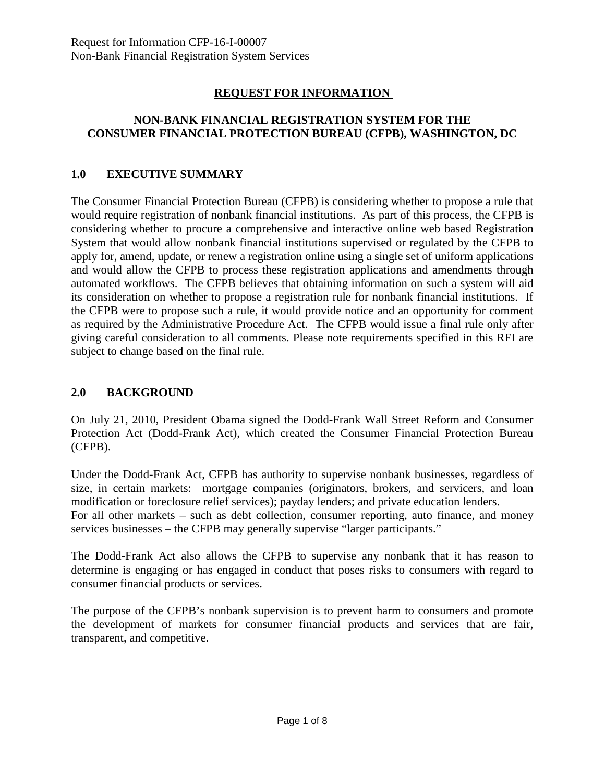### **REQUEST FOR INFORMATION**

### **NON-BANK FINANCIAL REGISTRATION SYSTEM FOR THE CONSUMER FINANCIAL PROTECTION BUREAU (CFPB), WASHINGTON, DC**

#### **1.0 EXECUTIVE SUMMARY**

The Consumer Financial Protection Bureau (CFPB) is considering whether to propose a rule that would require registration of nonbank financial institutions. As part of this process, the CFPB is considering whether to procure a comprehensive and interactive online web based Registration System that would allow nonbank financial institutions supervised or regulated by the CFPB to apply for, amend, update, or renew a registration online using a single set of uniform applications and would allow the CFPB to process these registration applications and amendments through automated workflows. The CFPB believes that obtaining information on such a system will aid its consideration on whether to propose a registration rule for nonbank financial institutions. If the CFPB were to propose such a rule, it would provide notice and an opportunity for comment as required by the Administrative Procedure Act. The CFPB would issue a final rule only after giving careful consideration to all comments. Please note requirements specified in this RFI are subject to change based on the final rule.

#### **2.0 BACKGROUND**

On July 21, 2010, President Obama signed the Dodd-Frank Wall Street Reform and Consumer Protection Act (Dodd-Frank Act), which created the Consumer Financial Protection Bureau (CFPB).

Under the Dodd-Frank Act, CFPB has authority to supervise nonbank businesses, regardless of size, in certain markets: mortgage companies (originators, brokers, and servicers, and loan modification or foreclosure relief services); payday lenders; and private education lenders.

For all other markets – such as debt collection, consumer reporting, auto finance, and money services businesses – the CFPB may generally supervise "larger participants."

The Dodd-Frank Act also allows the CFPB to supervise any nonbank that it has reason to determine is engaging or has engaged in conduct that poses risks to consumers with regard to consumer financial products or services.

The purpose of the CFPB's nonbank supervision is to prevent harm to consumers and promote the development of markets for consumer financial products and services that are fair, transparent, and competitive.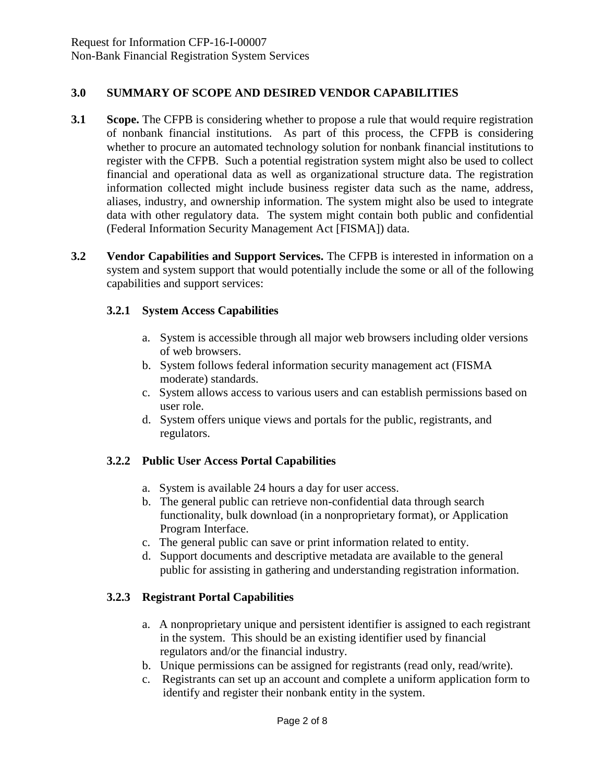### **3.0 SUMMARY OF SCOPE AND DESIRED VENDOR CAPABILITIES**

- **3.1 Scope.** The CFPB is considering whether to propose a rule that would require registration of nonbank financial institutions. As part of this process, the CFPB is considering whether to procure an automated technology solution for nonbank financial institutions to register with the CFPB. Such a potential registration system might also be used to collect financial and operational data as well as organizational structure data. The registration information collected might include business register data such as the name, address, aliases, industry, and ownership information. The system might also be used to integrate data with other regulatory data. The system might contain both public and confidential (Federal Information Security Management Act [FISMA]) data.
- **3.2 Vendor Capabilities and Support Services.** The CFPB is interested in information on a system and system support that would potentially include the some or all of the following capabilities and support services:

### **3.2.1 System Access Capabilities**

- a. System is accessible through all major web browsers including older versions of web browsers.
- b. System follows federal information security management act (FISMA moderate) standards.
- c. System allows access to various users and can establish permissions based on user role.
- d. System offers unique views and portals for the public, registrants, and regulators.

### **3.2.2 Public User Access Portal Capabilities**

- a. System is available 24 hours a day for user access.
- b. The general public can retrieve non-confidential data through search functionality, bulk download (in a nonproprietary format), or Application Program Interface.
- c. The general public can save or print information related to entity.
- d. Support documents and descriptive metadata are available to the general public for assisting in gathering and understanding registration information.

### **3.2.3 Registrant Portal Capabilities**

- a. A nonproprietary unique and persistent identifier is assigned to each registrant in the system. This should be an existing identifier used by financial regulators and/or the financial industry.
- b. Unique permissions can be assigned for registrants (read only, read/write).
- c. Registrants can set up an account and complete a uniform application form to identify and register their nonbank entity in the system.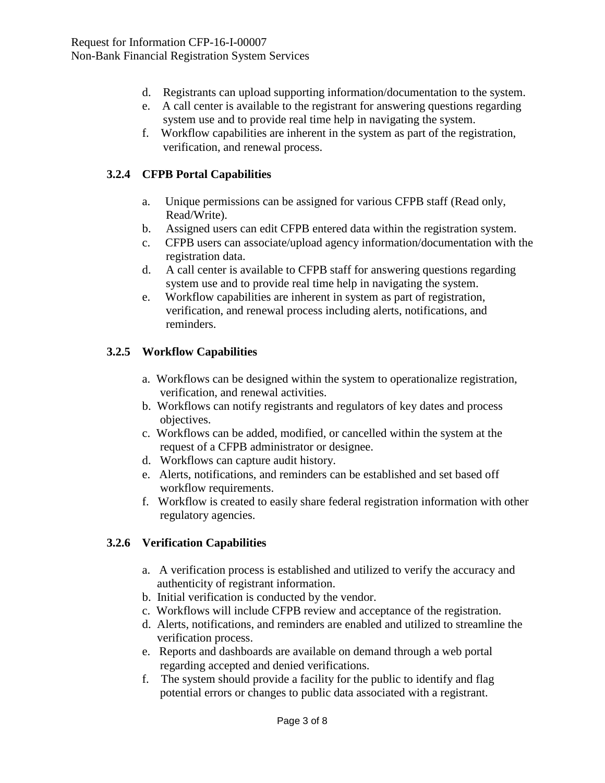- d. Registrants can upload supporting information/documentation to the system.
- e. A call center is available to the registrant for answering questions regarding system use and to provide real time help in navigating the system.
- f. Workflow capabilities are inherent in the system as part of the registration, verification, and renewal process.

# **3.2.4 CFPB Portal Capabilities**

- a. Unique permissions can be assigned for various CFPB staff (Read only, Read/Write).
- b. Assigned users can edit CFPB entered data within the registration system.
- c. CFPB users can associate/upload agency information/documentation with the registration data.
- d. A call center is available to CFPB staff for answering questions regarding system use and to provide real time help in navigating the system.
- e. Workflow capabilities are inherent in system as part of registration, verification, and renewal process including alerts, notifications, and reminders.

## **3.2.5 Workflow Capabilities**

- a. Workflows can be designed within the system to operationalize registration, verification, and renewal activities.
- b. Workflows can notify registrants and regulators of key dates and process objectives.
- c. Workflows can be added, modified, or cancelled within the system at the request of a CFPB administrator or designee.
- d. Workflows can capture audit history.
- e. Alerts, notifications, and reminders can be established and set based off workflow requirements.
- f. Workflow is created to easily share federal registration information with other regulatory agencies.

## **3.2.6 Verification Capabilities**

- a. A verification process is established and utilized to verify the accuracy and authenticity of registrant information.
- b. Initial verification is conducted by the vendor.
- c. Workflows will include CFPB review and acceptance of the registration.
- d. Alerts, notifications, and reminders are enabled and utilized to streamline the verification process.
- e. Reports and dashboards are available on demand through a web portal regarding accepted and denied verifications.
- f. The system should provide a facility for the public to identify and flag potential errors or changes to public data associated with a registrant.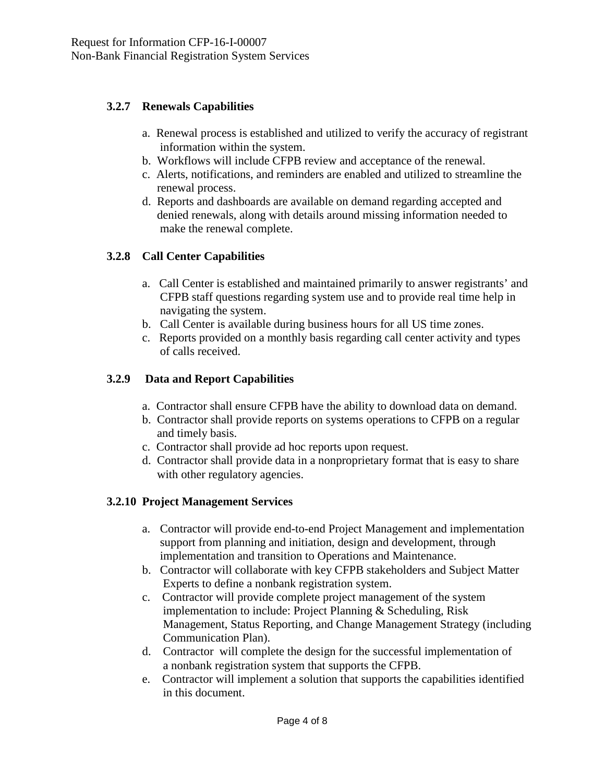### **3.2.7 Renewals Capabilities**

- a. Renewal process is established and utilized to verify the accuracy of registrant information within the system.
- b. Workflows will include CFPB review and acceptance of the renewal.
- c. Alerts, notifications, and reminders are enabled and utilized to streamline the renewal process.
- d. Reports and dashboards are available on demand regarding accepted and denied renewals, along with details around missing information needed to make the renewal complete.

## **3.2.8 Call Center Capabilities**

- a. Call Center is established and maintained primarily to answer registrants' and CFPB staff questions regarding system use and to provide real time help in navigating the system.
- b. Call Center is available during business hours for all US time zones.
- c. Reports provided on a monthly basis regarding call center activity and types of calls received.

### **3.2.9 Data and Report Capabilities**

- a. Contractor shall ensure CFPB have the ability to download data on demand.
- b. Contractor shall provide reports on systems operations to CFPB on a regular and timely basis.
- c. Contractor shall provide ad hoc reports upon request.
- d. Contractor shall provide data in a nonproprietary format that is easy to share with other regulatory agencies.

### **3.2.10 Project Management Services**

- a. Contractor will provide end-to-end Project Management and implementation support from planning and initiation, design and development, through implementation and transition to Operations and Maintenance.
- b. Contractor will collaborate with key CFPB stakeholders and Subject Matter Experts to define a nonbank registration system.
- c. Contractor will provide complete project management of the system implementation to include: Project Planning & Scheduling, Risk Management, Status Reporting, and Change Management Strategy (including Communication Plan).
- d. Contractor will complete the design for the successful implementation of a nonbank registration system that supports the CFPB.
- e. Contractor will implement a solution that supports the capabilities identified in this document.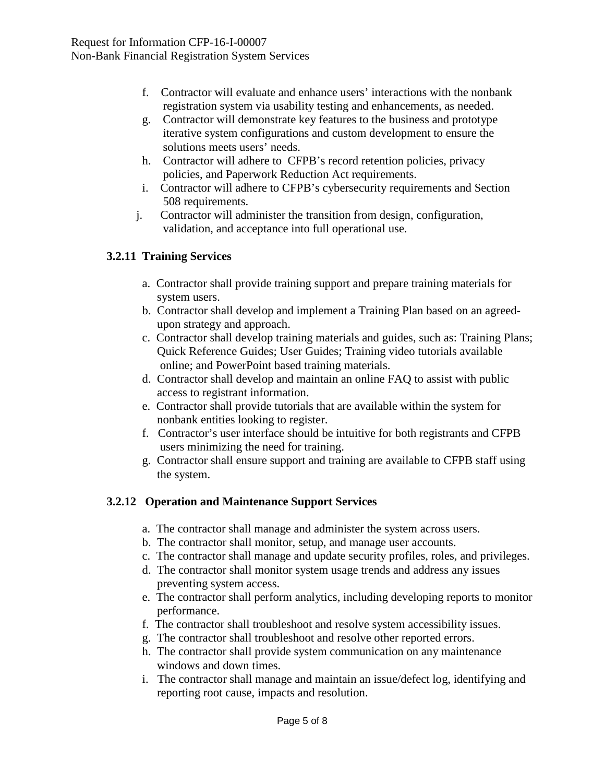- f. Contractor will evaluate and enhance users' interactions with the nonbank registration system via usability testing and enhancements, as needed.
- g. Contractor will demonstrate key features to the business and prototype iterative system configurations and custom development to ensure the solutions meets users' needs.
- h. Contractor will adhere to CFPB's record retention policies, privacy policies, and Paperwork Reduction Act requirements.
- i. Contractor will adhere to CFPB's cybersecurity requirements and Section 508 requirements.
- j. Contractor will administer the transition from design, configuration, validation, and acceptance into full operational use.

## **3.2.11 Training Services**

- a. Contractor shall provide training support and prepare training materials for system users.
- b. Contractor shall develop and implement a Training Plan based on an agreed upon strategy and approach.
- c. Contractor shall develop training materials and guides, such as: Training Plans; Quick Reference Guides; User Guides; Training video tutorials available online; and PowerPoint based training materials.
- d. Contractor shall develop and maintain an online FAQ to assist with public access to registrant information.
- e. Contractor shall provide tutorials that are available within the system for nonbank entities looking to register.
- f. Contractor's user interface should be intuitive for both registrants and CFPB users minimizing the need for training.
- g. Contractor shall ensure support and training are available to CFPB staff using the system.

## **3.2.12 Operation and Maintenance Support Services**

- a. The contractor shall manage and administer the system across users.
- b. The contractor shall monitor, setup, and manage user accounts.
- c. The contractor shall manage and update security profiles, roles, and privileges.
- d. The contractor shall monitor system usage trends and address any issues preventing system access.
- e. The contractor shall perform analytics, including developing reports to monitor performance.
- f. The contractor shall troubleshoot and resolve system accessibility issues.
- g. The contractor shall troubleshoot and resolve other reported errors.
- h. The contractor shall provide system communication on any maintenance windows and down times.
- i. The contractor shall manage and maintain an issue/defect log, identifying and reporting root cause, impacts and resolution.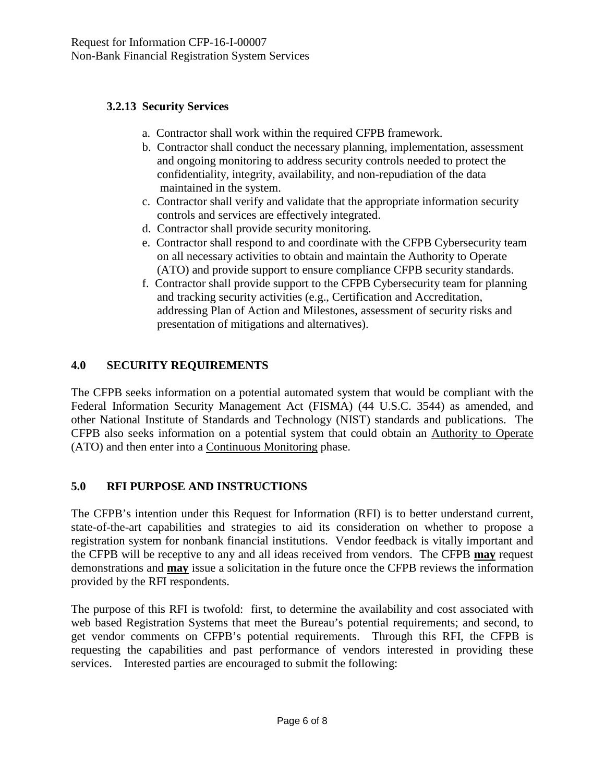### **3.2.13 Security Services**

- a. Contractor shall work within the required CFPB framework.
- b. Contractor shall conduct the necessary planning, implementation, assessment and ongoing monitoring to address security controls needed to protect the confidentiality, integrity, availability, and non-repudiation of the data maintained in the system.
- c. Contractor shall verify and validate that the appropriate information security controls and services are effectively integrated.
- d. Contractor shall provide security monitoring.
- e. Contractor shall respond to and coordinate with the CFPB Cybersecurity team on all necessary activities to obtain and maintain the Authority to Operate (ATO) and provide support to ensure compliance CFPB security standards.
- f. Contractor shall provide support to the CFPB Cybersecurity team for planning and tracking security activities (e.g., Certification and Accreditation, addressing Plan of Action and Milestones, assessment of security risks and presentation of mitigations and alternatives).

## **4.0 SECURITY REQUIREMENTS**

The CFPB seeks information on a potential automated system that would be compliant with the Federal Information Security Management Act (FISMA) (44 U.S.C. 3544) as amended, and other National Institute of Standards and Technology (NIST) standards and publications. The CFPB also seeks information on a potential system that could obtain an Authority to Operate (ATO) and then enter into a Continuous Monitoring phase.

### **5.0 RFI PURPOSE AND INSTRUCTIONS**

The CFPB's intention under this Request for Information (RFI) is to better understand current, state-of-the-art capabilities and strategies to aid its consideration on whether to propose a registration system for nonbank financial institutions. Vendor feedback is vitally important and the CFPB will be receptive to any and all ideas received from vendors. The CFPB **may** request demonstrations and **may** issue a solicitation in the future once the CFPB reviews the information provided by the RFI respondents.

The purpose of this RFI is twofold: first, to determine the availability and cost associated with web based Registration Systems that meet the Bureau's potential requirements; and second, to get vendor comments on CFPB's potential requirements. Through this RFI, the CFPB is requesting the capabilities and past performance of vendors interested in providing these services. Interested parties are encouraged to submit the following: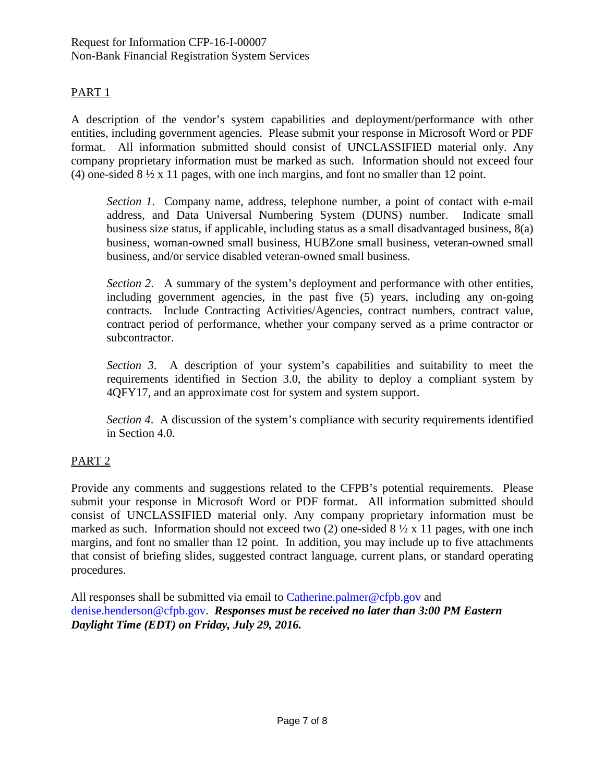### PART<sub>1</sub>

A description of the vendor's system capabilities and deployment/performance with other entities, including government agencies. Please submit your response in Microsoft Word or PDF format. All information submitted should consist of UNCLASSIFIED material only. Any company proprietary information must be marked as such. Information should not exceed four (4) one-sided 8 ½ x 11 pages, with one inch margins, and font no smaller than 12 point.

*Section 1*. Company name, address, telephone number, a point of contact with e-mail address, and Data Universal Numbering System (DUNS) number. Indicate small business size status, if applicable, including status as a small disadvantaged business, 8(a) business, woman-owned small business, HUBZone small business, veteran-owned small business, and/or service disabled veteran-owned small business.

*Section 2*. A summary of the system's deployment and performance with other entities, including government agencies, in the past five (5) years, including any on-going contracts. Include Contracting Activities/Agencies, contract numbers, contract value, contract period of performance, whether your company served as a prime contractor or subcontractor.

*Section 3*. A description of your system's capabilities and suitability to meet the requirements identified in Section 3.0, the ability to deploy a compliant system by 4QFY17, and an approximate cost for system and system support.

*Section 4*. A discussion of the system's compliance with security requirements identified in Section 4.0.

### PART 2

Provide any comments and suggestions related to the CFPB's potential requirements. Please submit your response in Microsoft Word or PDF format. All information submitted should consist of UNCLASSIFIED material only. Any company proprietary information must be marked as such. Information should not exceed two (2) one-sided  $8\frac{1}{2} \times 11$  pages, with one inch margins, and font no smaller than 12 point. In addition, you may include up to five attachments that consist of briefing slides, suggested contract language, current plans, or standard operating procedures.

All responses shall be submitted via email to [Catherine.palmer@cfpb.gov](mailto:Catherine.palmer@cfpb.gov) and [denise.henderson@cfpb.gov.](mailto:denise.henderson@cfpb.gov) *Responses must be received no later than 3:00 PM Eastern Daylight Time (EDT) on Friday, July 29, 2016.*